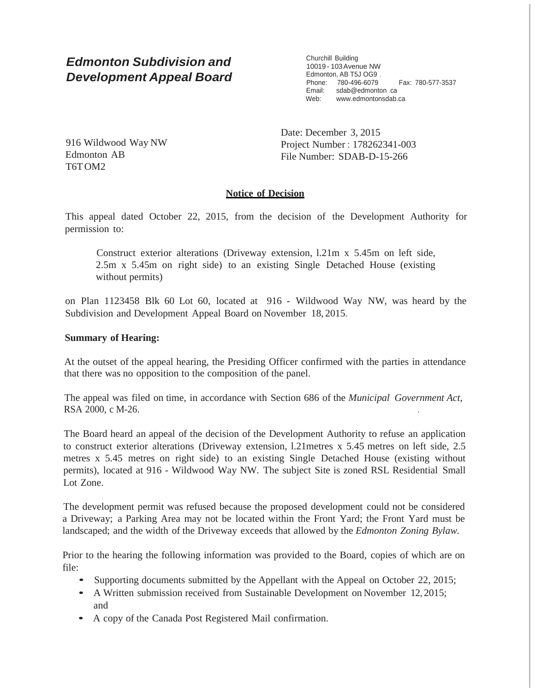# *Edmonton Subdivision and Development Appeal Board*

Churchill Building 10019 - 103Avenue NW Edmonton, AB T5J OG9 . Phone: 780-496-6079 Fax: 780-577-3537 Email: sdab@edmonton .ca Web: [www.edmontonsdab.ca](http://www.edmontonsdab.ca/)

916 Wildwood Way NW Edmonton AB T6TOM2

Date: December 3, 2015 Project Number : 178262341-003 File Number: SDAB-D-15-266

## **Notice of Decision**

This appeal dated October 22, 2015, from the decision of the Development Authority for permission to:

Construct exterior alterations (Driveway extension, l.21m x 5.45m on left side, 2.5m x 5.45m on right side) to an existing Single Detached House (existing without permits)

on Plan 1123458 Blk 60 Lot 60, located at 916 - Wildwood Way NW, was heard by the Subdivision and Development Appeal Board on November 18, 2015.

#### **Summary of Hearing:**

At the outset of the appeal hearing, the Presiding Officer confirmed with the parties in attendance that there was no opposition to the composition of the panel.

The appeal was filed on time, in accordance with Section 686 of the *Municipal Government Act,* RSA 2000, c M-26. .

The Board heard an appeal of the decision of the Development Authority to refuse an application to construct exterior alterations (Driveway extension, l.21metres x 5.45 metres on left side, 2.5 metres x 5.45 metres on right side) to an existing Single Detached House (existing without permits), located at 916 - Wildwood Way NW. The subject Site is zoned RSL Residential Small Lot Zone.

The development permit was refused because the proposed development could not be considered a Driveway; a Parking Area may not be located within the Front Yard; the Front Yard must be landscaped; and the width of the Driveway exceeds that allowed by the *Edmonton Zoning Bylaw.*

Prior to the hearing the following information was provided to the Board, copies of which are on file:

- Supporting documents submitted by the Appellant with the Appeal on October 22, 2015;
- A Written submission received from Sustainable Development on November 12, 2015; and
- <sup>A</sup> copy of the Canada Post Registered Mail confirmation.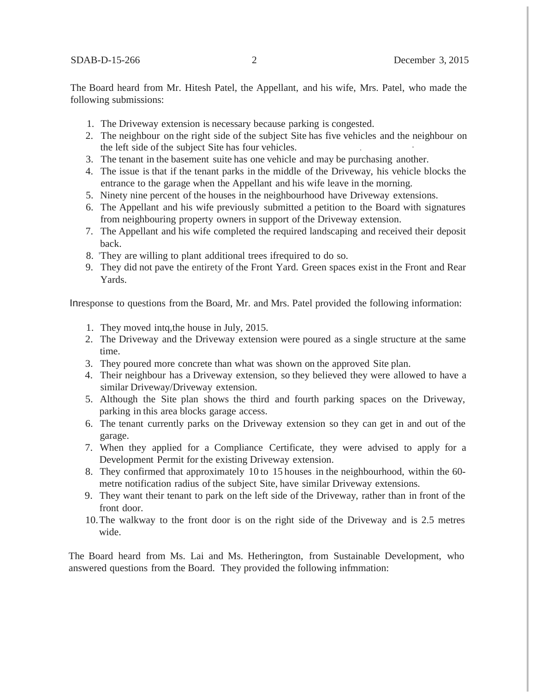The Board heard from Mr. Hitesh Patel, the Appellant, and his wife, Mrs. Patel, who made the following submissions:

- 1. The Driveway extension is necessary because parking is congested.
- 2. The neighbour on the right side of the subject Site has five vehicles and the neighbour on the left side of the subject Site has four vehicles.
- 3. The tenant in the basement suite has one vehicle and may be purchasing another.
- 4. The issue is that if the tenant parks in the middle of the Driveway, his vehicle blocks the entrance to the garage when the Appellant and his wife leave in the morning.
- 5. Ninety nine percent of the houses in the neighbourhood have Driveway extensions.
- 6. The Appellant and his wife previously submitted a petition to the Board with signatures from neighbouring property owners in support of the Driveway extension.
- 7. The Appellant and his wife completed the required landscaping and received their deposit back.
- 8. 'They are willing to plant additional trees ifrequired to do so.
- 9. They did not pave the entirety of the Front Yard. Green spaces exist in the Front and Rear Yards.

Inresponse to questions from the Board, Mr. and Mrs. Patel provided the following information:

- 1. They moved intq,the house in July, 2015.
- 2. The Driveway and the Driveway extension were poured as a single structure at the same time.
- 3. They poured more concrete than what was shown on the approved Site plan.
- 4. Their neighbour has a Driveway extension, so they believed they were allowed to have a similar Driveway/Driveway extension.
- 5. Although the Site plan shows the third and fourth parking spaces on the Driveway, parking in this area blocks garage access.
- 6. The tenant currently parks on the Driveway extension so they can get in and out of the garage.
- 7. When they applied for a Compliance Certificate, they were advised to apply for a Development Permit for the existing Driveway extension.
- 8. They confirmed that approximately 10 to 15 houses.in the neighbourhood, within the 60 metre notification radius of the subject Site, have similar Driveway extensions.
- 9. They want their tenant to park on the left side of the Driveway, rather than in front of the front door.
- 10.The walkway to the front door is on the right side of the Driveway and is 2.5 metres wide.

The Board heard from Ms. Lai and Ms. Hetherington, from Sustainable Development, who answered questions from the Board. They provided the following infmmation: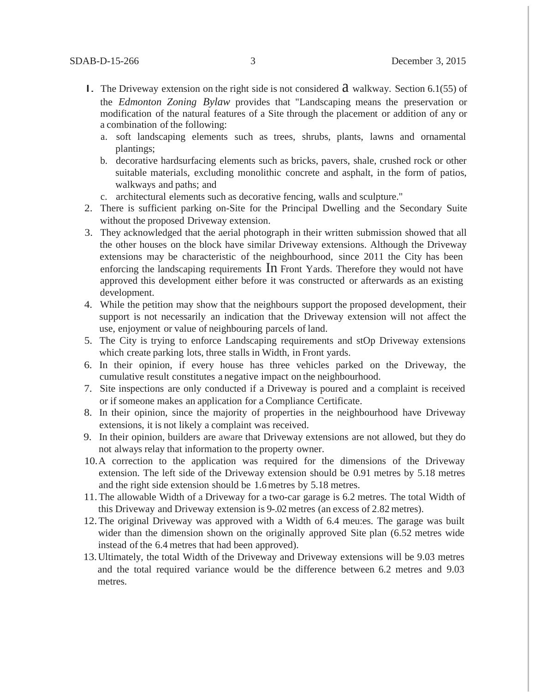- **I.** The Driveway extension on the right side is not considered  $\hat{a}$  walkway. Section 6.1(55) of the *Edmonton Zoning Bylaw* provides that "Landscaping means the preservation or modification of the natural features of a Site through the placement or addition of any or a combination of the following:
	- a. soft landscaping elements such as trees, shrubs, plants, lawns and ornamental plantings;
	- b. decorative hardsurfacing elements such as bricks, pavers, shale, crushed rock or other suitable materials, excluding monolithic concrete and asphalt, in the form of patios, walkways and paths; and
	- c. architectural elements such as decorative fencing, walls and sculpture."
- 2. There is sufficient parking on-Site for the Principal Dwelling and the Secondary Suite without the proposed Driveway extension.
- 3. They acknowledged that the aerial photograph in their written submission showed that all the other houses on the block have similar Driveway extensions. Although the Driveway extensions may be characteristic of the neighbourhood, since 2011 the City has been enforcing the landscaping requirements In Front Yards. Therefore they would not have approved this development either before it was constructed or afterwards as an existing development.
- 4. While the petition may show that the neighbours support the proposed development, their support is not necessarily an indication that the Driveway extension will not affect the use, enjoyment or value of neighbouring parcels of land.
- 5. The City is trying to enforce Landscaping requirements and stOp Driveway extensions which create parking lots, three stalls in Width, in Front yards.
- 6. In their opinion, if every house has three vehicles parked on the Driveway, the cumulative result constitutes a negative impact on the neighbourhood.
- 7. Site inspections are only conducted if a Driveway is poured and a complaint is received or if someone makes an application for a Compliance Certificate.
- 8. In their opinion, since the majority of properties in the neighbourhood have Driveway extensions, it is not likely a complaint was received.
- 9. In their opinion, builders are aware that Driveway extensions are not allowed, but they do not always relay that information to the property owner.
- 10.A correction to the application was required for the dimensions of the Driveway extension. The left side of the Driveway extension should be 0.91 metres by 5.18 metres and the right side extension should be 1.6metres by 5.18 metres.
- 11.The allowable Width of a Driveway for a two-car garage is 6.2 metres. The total Width of this Driveway and Driveway extension is 9-.02 metres (an excess of 2.82 metres).
- 12.The original Driveway was approved with a Width of 6.4 meu:es. The garage was built wider than the dimension shown on the originally approved Site plan (6.52 metres wide instead of the 6.4 metres that had been approved).
- 13.Ultimately, the total Width of the Driveway and Driveway extensions will be 9.03 metres and the total required variance would be the difference between 6.2 metres and 9.03 metres.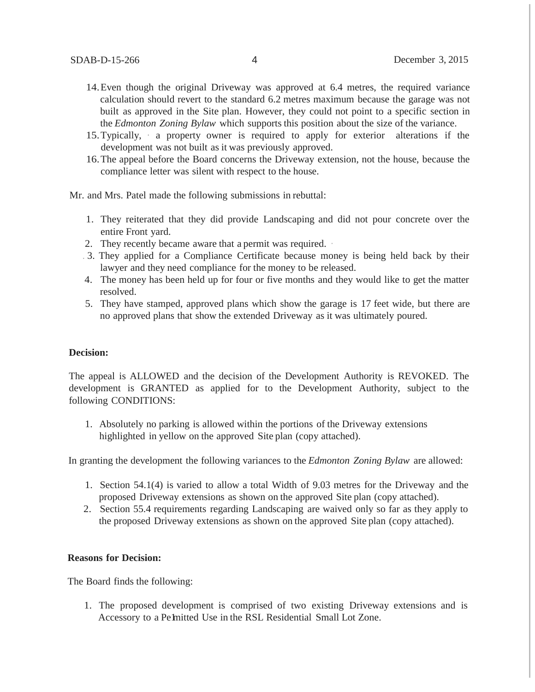- 14.Even though the original Driveway was approved at 6.4 metres, the required variance calculation should revert to the standard 6.2 metres maximum because the garage was not built as approved in the Site plan. However, they could not point to a specific section in the *Edmonton Zoning Bylaw* which supports this position about the size of the variance.
- 15.Typically, · a property owner is required to apply for exterior alterations if the development was not built as it was previously approved.
- 16.The appeal before the Board concerns the Driveway extension, not the house, because the compliance letter was silent with respect to the house.

Mr. and Mrs. Patel made the following submissions in rebuttal:

- 1. They reiterated that they did provide Landscaping and did not pour concrete over the entire Front yard.
- 2. They recently became aware that a permit was required. ·
- . 3. They applied for a Compliance Certificate because money is being held back by their lawyer and they need compliance for the money to be released.
- 4. The money has been held up for four or five months and they would like to get the matter resolved.
- 5. They have stamped, approved plans which show the garage is 17 feet wide, but there are no approved plans that show the extended Driveway as it was ultimately poured.

#### **Decision:**

The appeal is ALLOWED and the decision of the Development Authority is REVOKED. The development is GRANTED as applied for to the Development Authority, subject to the following CONDITIONS:

1. Absolutely no parking is allowed within the portions of the Driveway extensions highlighted in yellow on the approved Site plan (copy attached).

In granting the development the following variances to the *Edmonton Zoning Bylaw* are allowed:

- 1. Section 54.1(4) is varied to allow a total Width of 9.03 metres for the Driveway and the proposed Driveway extensions as shown on the approved Site plan (copy attached).
- 2. Section 55.4 requirements regarding Landscaping are waived only so far as they apply to the proposed Driveway extensions as shown on the approved Site plan (copy attached).

#### **Reasons for Decision:**

The Board finds the following:

1. The proposed development is comprised of two existing Driveway extensions and is Accessory to a Pe mitted Use in the RSL Residential Small Lot Zone.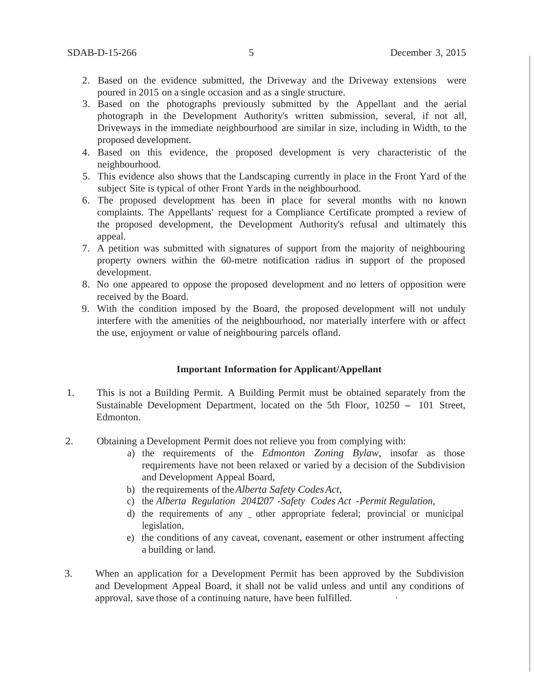- 2. Based on the evidence submitted, the Driveway and the Driveway extensions were poured in 2015 on a single occasion and as a single structure.
- 3. Based on the photographs previously submitted by the Appellant and the aerial photograph in the Development Authority's written submission, several, if not all, Driveways in the immediate neighbourhood are similar in size, including in Width, to the proposed development.
- 4. Based on this evidence, the proposed development is very characteristic of the neighbourhood.
- 5. This evidence also shows that the Landscaping currently in place in the Front Yard of the subject Site is typical of other Front Yards in the neighbourhood.
- 6. The proposed development has been in place for several months with no known complaints. The Appellants' request for a Compliance Certificate prompted a review of the proposed development, the Development Authority's refusal and ultimately this appeal.
- 7. A petition was submitted with signatures of support from the majority of neighbouring property owners within the 60-metre notification radius in support of the proposed development.
- 8. No one appeared to oppose the proposed development and no letters of opposition were received by the Board.
- 9. With the condition imposed by the Board, the proposed development will not unduly interfere with the amenities of the neighbourhood, nor materially interfere with or affect the use, enjoyment or value of neighbouring parcels ofland.

#### **Important Information for Applicant/Appellant**

- 1. This is not a Building Permit. A Building Permit must be obtained separately from the Sustainable Development Department, located on the 5th Floor, <sup>10250</sup> - <sup>101</sup> Street, Edmonton.
- 2. Obtaining a Development Permit does not relieve you from complying with:
	- a) the requirements of the *Edmonton Zoning Bylaw,* insofar as those reqµirements have not been relaxed or varied by a decision of the Subdivision and Development Appeal Board,
	- b) the requirements of the*Alberta Safety CodesAct,*
	- c) the *Alberta Regulation 2041207* -*Safety Codes Act -Permit Regulation,*
	- d) the requirements of any \_ other appropriate federal; provincial or municipal legislation,
	- e) the conditions of any caveat, covenant, easement or other instrument affecting a building or land.
- 3. When an application for a Development Permit has been approved by the Subdivision and Development Appeal Board, it shall not be valid unless and until any conditions of approval, save those of a continuing nature, have been fulfilled.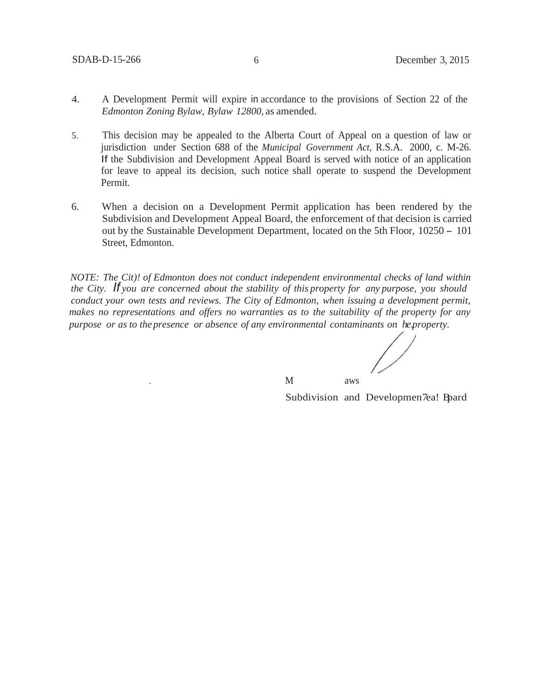- 4. A Development Permit will expire in accordance to the provisions of Section 22 of the *Edmonton Zoning Bylaw, Bylaw 12800,* as amended.
- 5. This decision may be appealed to the Alberta Court of Appeal on a question of law or jurisdiction under Section 688 of the *Municipal Government Act,* R.S.A. 2000, c. M-26. If the Subdivision and Development Appeal Board is served with notice of an application for leave to appeal its decision, such notice shall operate to suspend the Development Permit.
- 6. When a decision on a Development Permit application has been rendered by the Subdivision and Development Appeal Board, the enforcement of that decision is carried out by the Sustainable Development Department, located on the 5th Floor, <sup>10250</sup> - <sup>101</sup> Street, Edmonton.

*NOTE: The Cit)! of Edmonton does not conduct independent environmental checks of land within the City. If you are concerned about the stability of this property for any purpose, you should conduct your own tests and reviews. The City of Edmonton, when issuing a development permit, makes no representations and offers no warranties as to the suitability of the property for any purpose or as to the presence or absence of any environmental contaminants on he.property.*

. And a set of  $M$  and a set of  $M$ 

Subdivision and Developmen7ea! Bpard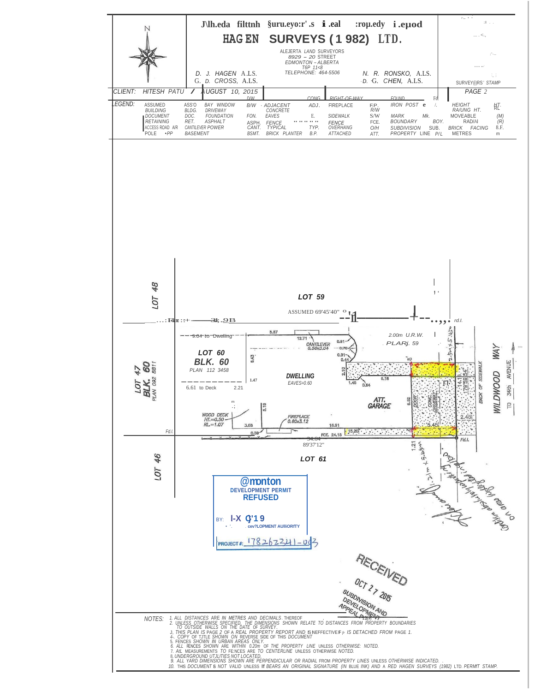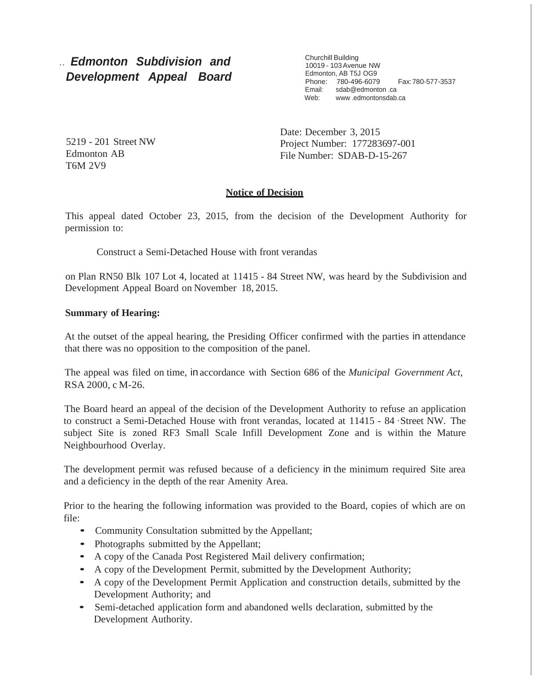# .. *Edmonton Subdivision and Development Appeal Board*

Churchill Building 10019 - 103Avenue NW Edmonton, AB T5J OG9 Phone: 780-496-6079 Fax:780-577-3537 Email: sdab@edmonton .ca Web: www[.edmontonsdab.ca](http://www.edmontonsdab.ca/)

5219 - 201 Street NW Edmonton AB T6M 2V9

Date: December 3, 2015 Project Number: 177283697-001 File Number: SDAB-D-15-267

# **Notice of Decision**

This appeal dated October 23, 2015, from the decision of the Development Authority for permission to:

Construct a Semi-Detached House with front verandas

on Plan RN50 Blk 107 Lot 4, located at 11415 - 84 Street NW, was heard by the Subdivision and Development Appeal Board on November 18, 2015.

## **Summary of Hearing:**

At the outset of the appeal hearing, the Presiding Officer confirmed with the parties in attendance that there was no opposition to the composition of the panel.

The appeal was filed on time, in accordance with Section 686 of the *Municipal Government Act,* RSA 2000, c M-26.

The Board heard an appeal of the decision of the Development Authority to refuse an application to construct a Semi-Detached House with front verandas, located at 11415 - 84 ·Street NW. The subject Site is zoned RF3 Small Scale Infill Development Zone and is within the Mature Neighbourhood Overlay.

The development permit was refused because of a deficiency in the minimum required Site area and a deficiency in the depth of the rear Amenity Area.

Prior to the hearing the following information was provided to the Board, copies of which are on file:

- Community Consultation submitted by the Appellant;
- Photographs submitted by the Appellant;
- <sup>A</sup> copy of the Canada Post Registered Mail delivery confirmation;
- <sup>A</sup> copy of the Development Permit, submitted by the Development Authority;
- <sup>A</sup> copy of the Development Permit Application and construction details, submitted by the Development Authority; and
- Semi-detached application form and abandoned wells declaration, submitted by the Development Authority.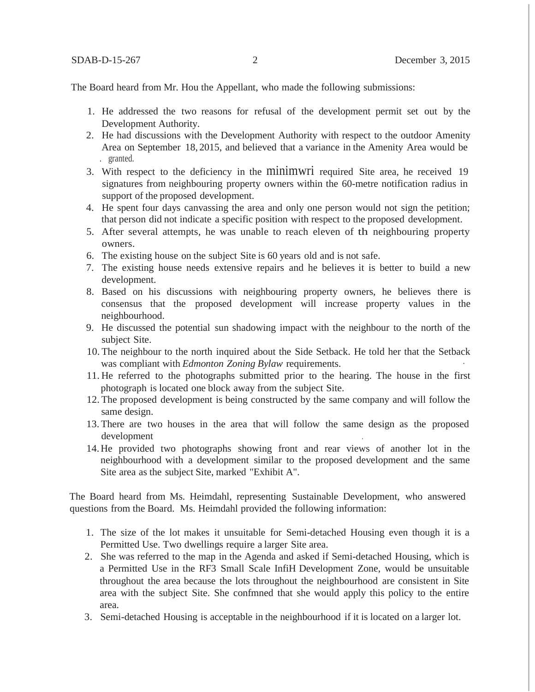The Board heard from Mr. Hou the Appellant, who made the following submissions:

- 1. He addressed the two reasons for refusal of the development permit set out by the Development Authority.
- 2. He had discussions with the Development Authority with respect to the outdoor Amenity Area on September 18, 2015, and believed that a variance in the Amenity Area would be . granted.
- 3. With respect to the deficiency in the minimwri required Site area, he received 19 signatures from neighbouring property owners within the 60-metre notification radius in support of the proposed development.
- 4. He spent four days canvassing the area and only one person would not sign the petition; that person did not indicate a specific position with respect to the proposed development.
- 5. After several attempts, he was unable to reach eleven of th neighbouring property owners.
- 6. The existing house on the subject Site is 60 years old and is not safe.
- 7. The existing house needs extensive repairs and he believes it is better to build a new development.
- 8. Based on his discussions with neighbouring property owners, he believes there is consensus that the proposed development will increase property values in the neighbourhood.
- 9. He discussed the potential sun shadowing impact with the neighbour to the north of the subject Site.
- 10. The neighbour to the north inquired about the Side Setback. He told her that the Setback was compliant with *Edmonton Zoning Bylaw* requirements. ·
- 11. He referred to the photographs submitted prior to the hearing. The house in the first photograph is located one block away from the subject Site.
- 12. The proposed development is being constructed by the same company and will follow the same design.
- 13. There are two houses in the area that will follow the same design as the proposed development
- 14.He provided two photographs showing front and rear views of another lot in the neighbourhood with a development similar to the proposed development and the same Site area as the subject Site, marked "Exhibit A".

The Board heard from Ms. Heimdahl, representing Sustainable Development, who answered questions from the Board. Ms. Heimdahl provided the following information:

- 1. The size of the lot makes it unsuitable for Semi-detached Housing even though it is a Permitted Use. Two dwellings require a larger Site area.
- 2. She was referred to the map in the Agenda and asked if Semi-detached Housing, which is a Permitted Use in the RF3 Small Scale InfiH Development Zone, would be unsuitable throughout the area because the lots throughout the neighbourhood are consistent in Site area with the subject Site. She confmned that she would apply this policy to the entire area.
- 3. Semi-detached Housing is acceptable in the neighbourhood if it is located on a larger lot.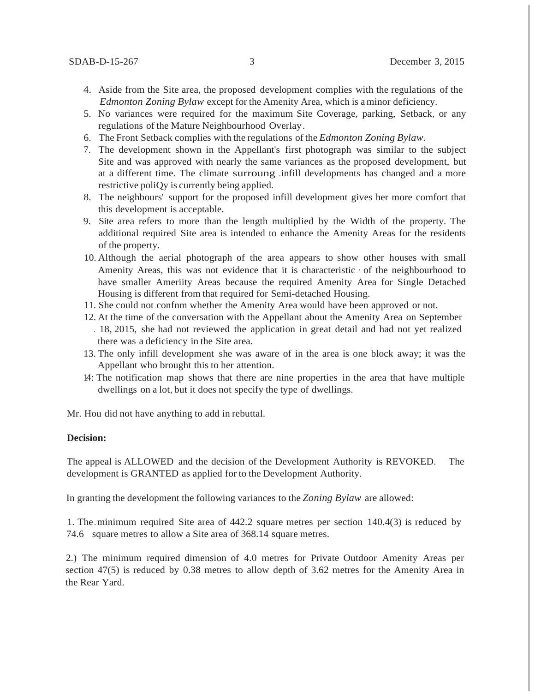- 4. Aside from the Site area, the proposed development complies with the regulations of the *Edmonton Zoning Bylaw* except for the Amenity Area, which is aminor deficiency.
- 5. No variances were required for the maximum Site Coverage, parking, Setback, or any regulations of the Mature Neighbourhood Overlay.
- 6. The Front Setback complies with the regulations of the *Edmonton Zoning Bylaw.*
- 7. The development shown in the Appellant's first photograph was similar to the subject Site and was approved with nearly the same variances as the proposed development, but at a different time. The climate surroung .infill developments has changed and a more restrictive poliQy is currently being applied.
- 8. The neighbours' support for the proposed infill development gives her more comfort that this development is acceptable.
- 9. Site area refers to more than the length multiplied by the Width of the property. The additional required Site area is intended to enhance the Amenity Areas for the residents of the property.
- 10. Although the aerial photograph of the area appears to show other houses with small Amenity Areas, this was not evidence that it is characteristic · of the neighbourhood to have smaller Ameriity Areas because the required Amenity Area for Single Detached Housing is different from that required for Semi-detached Housing.
- 11. She could not confnm whether the Amenity Area would have been approved or not.
- 12. At the time of the conversation with the Appellant about the Amenity Area on September . 18, 2015, she had not reviewed the application in great detail and had not yet realized
- there was a deficiency in the Site area.
- 13. The only infill development she was aware of in the area is one block away; it was the Appellant who brought this to her attention.
- 14: The notification map shows that there are nine properties in the area that have multiple dwellings on a lot, but it does not specify the type of dwellings.

Mr. Hou did not have anything to add in rebuttal.

### **Decision:**

The appeal is ALLOWED and the decision of the Development Authority is REVOKED. The development is GRANTED as applied for to the Development Authority.

In granting the development the following variances to the *Zoning Bylaw* are allowed:

1. The.minimum required Site area of 442.2 square metres per section 140.4(3) is reduced by 74.6 square metres to allow a Site area of 368.14 square metres.

2.) The minimum required dimension of 4.0 metres for Private Outdoor Amenity Areas per section 47(5) is reduced by 0.38 metres to allow depth of 3.62 metres for the Amenity Area in the Rear Yard.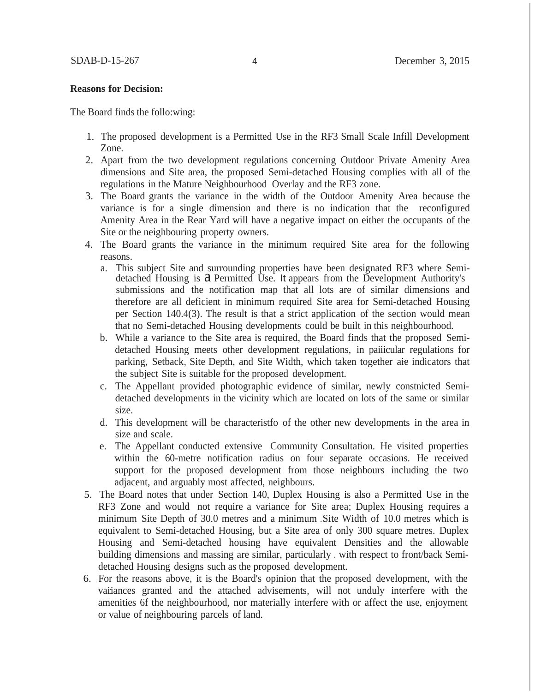#### **Reasons for Decision:**

The Board finds the follo:wing:

- 1. The proposed development is a Permitted Use in the RF3 Small Scale Infill Development Zone.
- 2. Apart from the two development regulations concerning Outdoor Private Amenity Area dimensions and Site area, the proposed Semi-detached Housing complies with all of the regulations in the Mature Neighbourhood Overlay and the RF3 zone.
- 3. The Board grants the variance in the width of the Outdoor Amenity Area because the variance is for a single dimension and there is no indication that the reconfigured Amenity Area in the Rear Yard will have a negative impact on either the occupants of the Site or the neighbouring property owners.
- 4. The Board grants the variance in the minimum required Site area for the following reasons.
	- a. This subject Site and surrounding properties have been designated RF3 where Semidetached Housing is a Permitted Use. It appears from the Development Authority's submissions and the notification map that all lots are of similar dimensions and therefore are all deficient in minimum required Site area for Semi-detached Housing per Section 140.4(3). The result is that a strict application of the section would mean that no Semi-detached Housing developments could be built in this neighbourhood.
	- b. While a variance to the Site area is required, the Board finds that the proposed Semidetached Housing meets other development regulations, in paiiicular regulations for parking, Setback, Site Depth, and Site Width, which taken together aie indicators that the subject Site is suitable for the proposed development.
	- c. The Appellant provided photographic evidence of similar, newly constnicted Semidetached developments in the vicinity which are located on lots of the same or similar size.
	- d. This development will be characteristfo of the other new developments in the area in size and scale.
	- e. The Appellant conducted extensive Community Consultation. He visited properties within the 60-metre notification radius on four separate occasions. He received support for the proposed development from those neighbours including the two adjacent, and arguably most affected, neighbours.
- 5. The Board notes that under Section 140, Duplex Housing is also a Permitted Use in the RF3 Zone and would not require a variance for Site area; Duplex Housing requires a minimum Site Depth of 30.0 metres and a minimum .Site Width of 10.0 metres which is equivalent to Semi-detached Housing, but a Site area of only 300 square metres. Duplex Housing and Semi-detached housing have equivalent Densities and the allowable building dimensions and massing are similar, particularly . with respect to front/back Semidetached Housing designs such as the proposed development.
- 6. For the reasons above, it is the Board's opinion that the proposed development, with the vaiiances granted and the attached advisements, will not unduly interfere with the amenities 6f the neighbourhood, nor materially interfere with or affect the use, enjoyment or value of neighbouring parcels of land.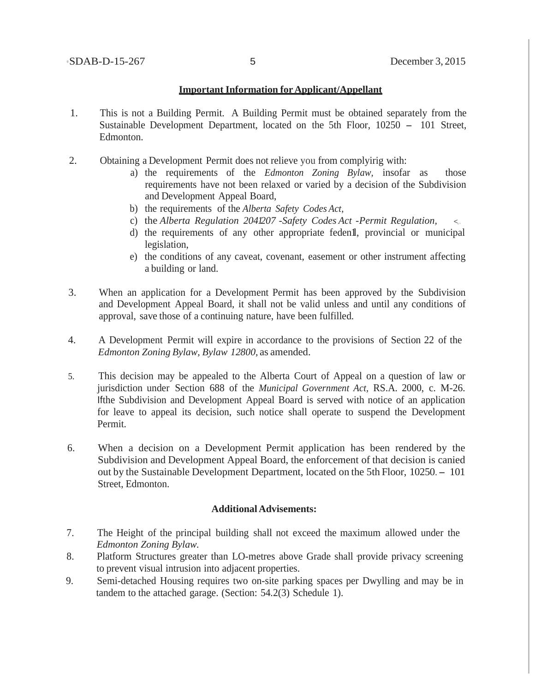#### **Important Information forApplicant/Appellant**

- 1. This is not a Building Permit. A Building Permit must be obtained separately from the Sustainable Development Department, located on the 5th Floor, 10250 - 101 Street, Edmonton.
- 2. Obtaining a Development Permit does not relieve you from complyirig with:
	- a) the requirements of the *Edmonton Zoning Bylaw,* insofar as those requirements have not been relaxed or varied by a decision of the Subdivision and Development Appeal Board,
	- b) the requirements of the *Alberta Safety Codes Act,*
	- c) the *Alberta Regulation 2041207* -*Safety Codes Act -Permit Regulation,* <,.
	- d) the requirements of any other appropriate feden1l, provincial or municipal legislation,
	- e) the conditions of any caveat, covenant, easement or other instrument affecting a building or land.
- 3. When an application for a Development Permit has been approved by the Subdivision and Development Appeal Board, it shall not be valid unless and until any conditions of approval, save those of a continuing nature, have been fulfilled.
- 4. A Development Permit will expire in accordance to the provisions of Section 22 of the *Edmonton Zoning Bylaw, Bylaw 12800,* as amended.
- 5. This decision may be appealed to the Alberta Court of Appeal on a question of law or jurisdiction under Section 688 of the *Municipal Government Act,* RS.A. 2000, c. M-26. Ifthe Subdivision and Development Appeal Board is served with notice of an application for leave to appeal its decision, such notice shall operate to suspend the Development Permit.
- 6. When a decision on a Development Permit application has been rendered by the Subdivision and Development Appeal Board, the enforcement of that decision is canied out by the Sustainable Development Department, located on the 5th Floor, 10250.- <sup>101</sup> Street, Edmonton.

#### **Additional Advisements:**

- 7. The Height of the principal building shall not exceed the maximum allowed under the *Edmonton Zoning Bylaw.*
- 8. Platform Structures greater than LO-metres above Grade shall provide privacy screening to prevent visual intrusion into adjacent properties.
- 9. Semi-detached Housing requires two on-site parking spaces per Dwylling and may be in tandem to the attached garage. (Section: 54.2(3) Schedule 1).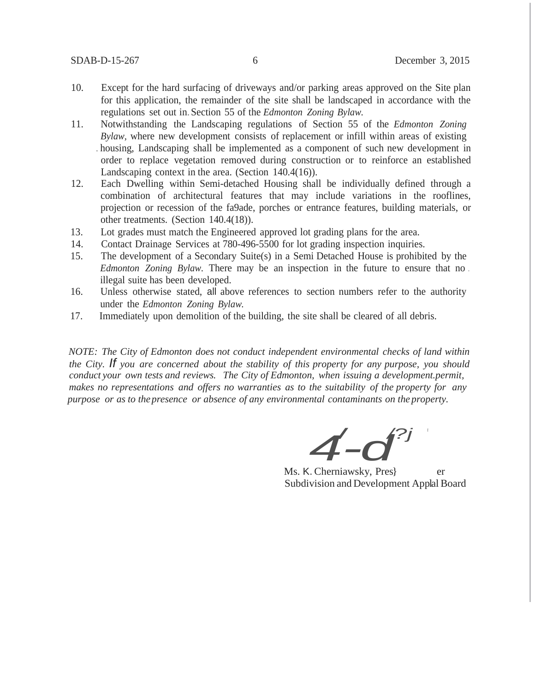- 10. Except for the hard surfacing of driveways and/or parking areas approved on the Site plan for this application, the remainder of the site shall be landscaped in accordance with the regulations set out in. Section 55 of the *Edmonton Zoning Bylaw.*
- 11. Notwithstanding the Landscaping regulations of Section 55 of the *Edmonton Zoning Bylaw,* where new development consists of replacement or infill within areas of existing . housing, Landscaping shall be implemented as a component of such new development in order to replace vegetation removed during construction or to reinforce an established Landscaping context in the area. (Section 140.4(16)).
- 12. Each Dwelling within Semi-detached Housing shall be individually defined through a combination of architectural features that may include variations in the rooflines, projection or recession of the fa9ade, porches or entrance features, building materials, or other treatments. (Section 140.4(18)).
- 13. Lot grades must match the Engineered approved lot grading plans for the area.
- 14. Contact Drainage Services at 780-496-5500 for lot grading inspection inquiries.
- 15. The development of a Secondary Suite(s) in a Semi Detached House is prohibited by the *Edmonton Zoning Bylaw.* There may be an inspection in the future to ensure that no . illegal suite has been developed.
- 16. Unless otherwise stated, all above references to section numbers refer to the authority under the *Edmonton Zoning Bylaw.*
- 17. Immediately upon demolition of the building, the site shall be cleared of all debris.

*NOTE: The City of Edmonton does not conduct independent environmental checks of land within the City. If you are concerned about the stability of this property for any purpose, you should conduct your own tests and reviews. The City of Edmonton, when issuing a development.permit, makes no representations and offers no warranties as to the suitability of the property for any purpose or as to thepresence or absence of any environmental contaminants on the property.*

*4-d* / */?j '*

Ms. K. Cherniawsky, Pres} er Subdivision and Development Applal Board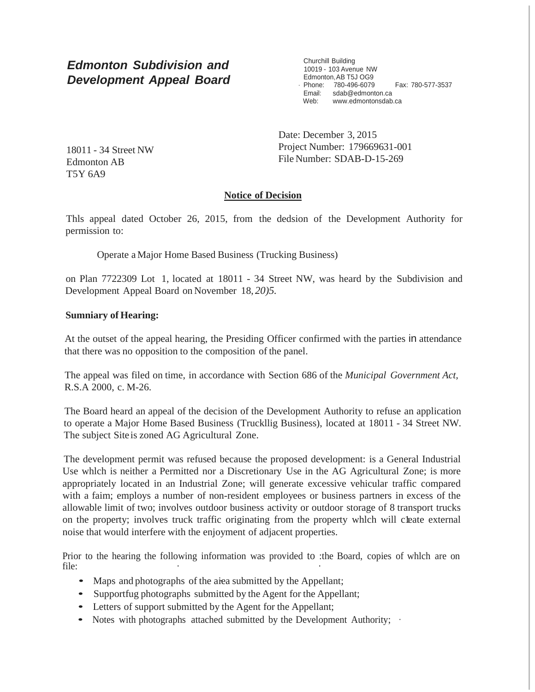# *Edmonton Subdivision and Development Appeal Board*

Churchill Building 10019 - 103 Avenue NW Edmonton,AB T5J OG9 · Phone: 780-496-6079 Fax: 780-577-3537 Email: [sdab@edmonton.ca](mailto:sdab@edmonton.ca) Web: [www.edmontonsdab.ca](http://www.edmontonsdab.ca/)

18011 - 34 Street NW Edmonton AB T5Y 6A9

Date: December 3, 2015 Project Number: 179669631-001 File Number: SDAB-D-15-269

# **Notice of Decision**

Thls appeal dated October 26, 2015, from the dedsion of the Development Authority for permission to:

Operate a Major Home Based Business (Trucking Business)

on Plan 7722309 Lot 1, located at 18011 - 34 Street NW, was heard by the Subdivision and Development Appeal Board on November 18, *20)5.*

## **Sumniary of Hearing:**

At the outset of the appeal hearing, the Presiding Officer confirmed with the parties in attendance that there was no opposition to the composition of the panel.

The appeal was filed on time, in accordance with Section 686 of the *Municipal Government Act,* R.S.A 2000, c. M-26.

The Board heard an appeal of the decision of the Development Authority to refuse an application to operate a Major Home Based Business (Truckllig Business), located at 18011 - 34 Street NW. The subject Site is zoned AG Agricultural Zone.

The development permit was refused because the proposed development: is a General Industrial Use whlch is neither a Permitted nor a Discretionary Use in the AG Agricultural Zone; is more appropriately located in an Industrial Zone; will generate excessive vehicular traffic compared with a faim; employs a number of non-resident employees or business partners in excess of the allowable limit of two; involves outdoor business activity or outdoor storage of 8 transport trucks on the property; involves truck traffic originating from the property which will cleate external noise that would interfere with the enjoyment of adjacent properties.

Prior to the hearing the following information was provided to :the Board, copies of whlch are on file: *i <i>i i <i>i i i i i i i i i i i* 

- Maps and photographs of the aiea submitted by the Appellant;
- Supportfug photographs submitted by the Agent for the Appellant;
- Letters of support submitted by the Agent for the Appellant;
- Notes with photographs attached submitted by the Development Authority;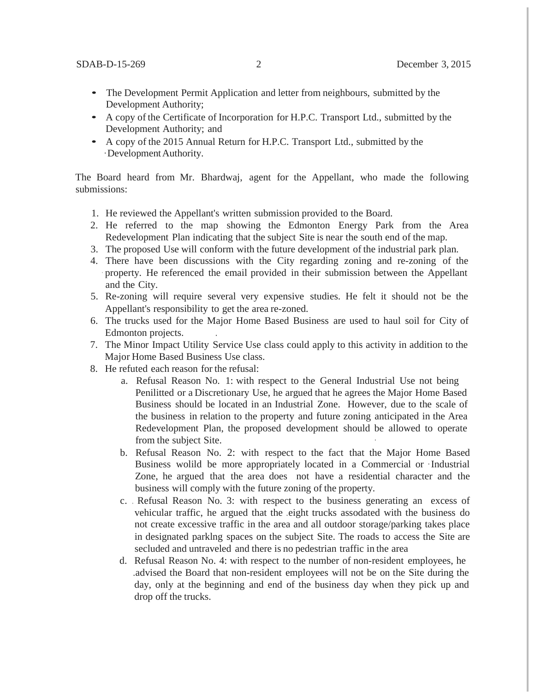- The Development Permit Application and letter from neighbours, submitted by the Development Authority;
- A copy of the Certificate of Incorporation for H.P.C. Transport Ltd., submitted by the Development Authority; and
- <sup>A</sup> copy of the 2015 Annual Return for H.P.C. Transport Ltd., submitted by the ·DevelopmentAuthority.

The Board heard from Mr. Bhardwaj, agent for the Appellant, who made the following submissions:

- 1. He reviewed the Appellant's written submission provided to the Board.
- 2. He referred to the map showing the Edmonton Energy Park from the Area Redevelopment Plan indicating that the subject Site is near the south end of the map.
- 3. The proposed Use will conform with the future development of the industrial park plan.
- 4. There have been discussions with the City regarding zoning and re-zoning of the property. He referenced the email provided in their submission between the Appellant and the City.
- 5. Re-zoning will require several very expensive studies. He felt it should not be the Appellant's responsibility to get the area re-zoned.
- 6. The trucks used for the Major Home Based Business are used to haul soil for City of Edmonton projects. .
- 7. The Minor Impact Utility Service Use class could apply to this activity in addition to the Major Home Based Business Use class.
- 8. He refuted each reason for the refusal:
	- a. Refusal Reason No. 1: with respect to the General Industrial Use not being Penilitted or a Discretionary Use, he argued that he agrees the Major Home Based Business should be located in an Industrial Zone. However, due to the scale of the business in relation to the property and future zoning anticipated in the Area Redevelopment Plan, the proposed development should be allowed to operate from the subject Site.
	- b. Refusal Reason No. 2: with respect to the fact that the Major Home Based Business wolild be more appropriately located in a Commercial or ·Industrial Zone, he argued that the area does not have a residential character and the business will comply with the future zoning of the property.
	- c. . Refusal Reason No. 3: with respect to the business generating an excess of vehicular traffic, he argued that the .eight trucks assodated with the business do not create excessive traffic in the area and all outdoor storage/parking takes place in designated parklng spaces on the subject Site. The roads to access the Site are secluded and untraveled and there is no pedestrian traffic in the area
	- d. Refusal Reason No. 4: with respect to the number of non-resident employees, he .advised the Board that non-resident employees will not be on the Site during the day, only at the beginning and end of the business day when they pick up and drop off the trucks.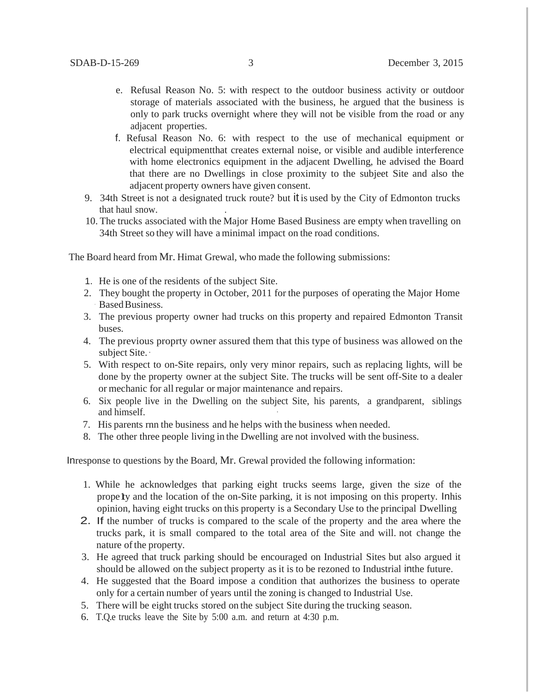- e. Refusal Reason No. 5: with respect to the outdoor business activity or outdoor storage of materials associated with the business, he argued that the business is only to park trucks overnight where they will not be visible from the road or any adjacent properties.
- f. Refusal Reason No. 6: with respect to the use of mechanical equipment or electrical equipmentthat creates external noise, or visible and audible interference with home electronics equipment in the adjacent Dwelling, he advised the Board that there are no Dwellings in close proximity to the subjeet Site and also the adjacent property owners have given consent.
- 9. 34th Street is not a designated truck route? but it is used by the City of Edmonton trucks that haul snow. .
- 10. The trucks associated with the Major Home Based Business are empty when travelling on 34th Street so they will have a minimal impact on the road conditions.

The Board heard from Mr. Himat Grewal, who made the following submissions:

- 1. He is one of the residents of the subject Site.
- 2. They bought the property in October, 2011 for the purposes of operating the Major Home Based Business.
- 3. The previous property owner had trucks on this property and repaired Edmonton Transit buses.
- 4. The previous proprty owner assured them that this type of business was allowed on the subject Site.·
- 5. With respect to on-Site repairs, only very minor repairs, such as replacing lights, will be done by the property owner at the subject Site. The trucks will be sent off-Site to a dealer or mechanic for all regular or major maintenance and repairs.
- 6. Six people live in the Dwelling on the subject Site, his parents, a grandparent, siblings and himself.
- 7. His parents rnn the business and he helps with the business when needed.
- 8. The other three people living in the Dwelling are not involved with the business.

Inresponse to questions by the Board, Mr. Grewal provided the following information:

- 1. While he acknowledges that parking eight trucks seems large, given the size of the prope1ty and the location of the on-Site parking, it is not imposing on this property. Inhis opinion, having eight trucks on this property is a Secondary Use to the principal Dwelling
- 2. If the number of trucks is compared to the scale of the property and the area where the trucks park, it is small compared to the total area of the Site and will. not change the nature of the property.
- 3. He agreed that truck parking should be encouraged on Industrial Sites but also argued it should be allowed on the subject property as it is to be rezoned to Industrial inthe future.
- 4. He suggested that the Board impose a condition that authorizes the business to operate only for a certain number of years until the zoning is changed to Industrial Use.
- 5. There will be eight trucks stored on the subject Site during the trucking season.
- 6. T.Q.e trucks leave the Site by 5:00 a.m. and return at 4:30 p.m.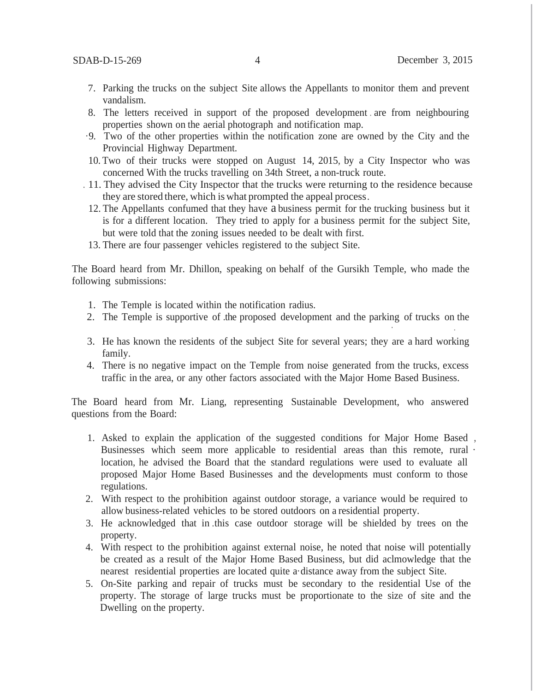- 7. Parking the trucks on the subject Site allows the Appellants to monitor them and prevent vandalism.
- 8. The letters received in support of the proposed development . are from neighbouring properties shown on the aerial photograph and notification map.
- ·9. Two of the other properties within the notification zone are owned by the City and the Provincial Highway Department.
- 10. Two of their trucks were stopped on August 14, 2015, by a City Inspector who was concerned With the trucks travelling on 34th Street, a non-truck route.
- . 11. They advised the City Inspector that the trucks were returning to the residence because they are stored there, which iswhat prompted the appeal process.
	- 12. The Appellants confumed that they have a business permit for the trucking business but it is for a different location. They tried to apply for a business permit for the subject Site, but were told that the zoning issues needed to be dealt with first.
- 13. There are four passenger vehicles registered to the subject Site.

The Board heard from Mr. Dhillon, speaking on behalf of the Gursikh Temple, who made the following submissions:

- 1. The Temple is located within the notification radius.
- 2. The Temple is supportive of .the proposed development and the parking of trucks on the .
- 3. He has known the residents of the subject Site for several years; they are a hard working family.
- 4. There is no negative impact on the Temple from noise generated from the trucks, excess traffic in the area, or any other factors associated with the Major Home Based Business.

The Board heard from Mr. Liang, representing Sustainable Development, who answered questions from the Board:

- 1. Asked to explain the application of the suggested conditions for Major Home Based , Businesses which seem more applicable to residential areas than this remote, rural · location, he advised the Board that the standard regulations were used to evaluate all proposed Major Home Based Businesses and the developments must conform to those regulations.
- 2. With respect to the prohibition against outdoor storage, a variance would be required to allow business-related vehicles to be stored outdoors on a residential property.
- 3. He acknowledged that in .this case outdoor storage will be shielded by trees on the property.
- 4. With respect to the prohibition against external noise, he noted that noise will potentially be created as a result of the Major Home Based Business, but did aclmowledge that the nearest residential properties are located quite a·distance away from the subject Site.
- 5. On-Site parking and repair of trucks must be secondary to the residential Use of the property. The storage of large trucks must be proportionate to the size of site and the Dwelling on the property.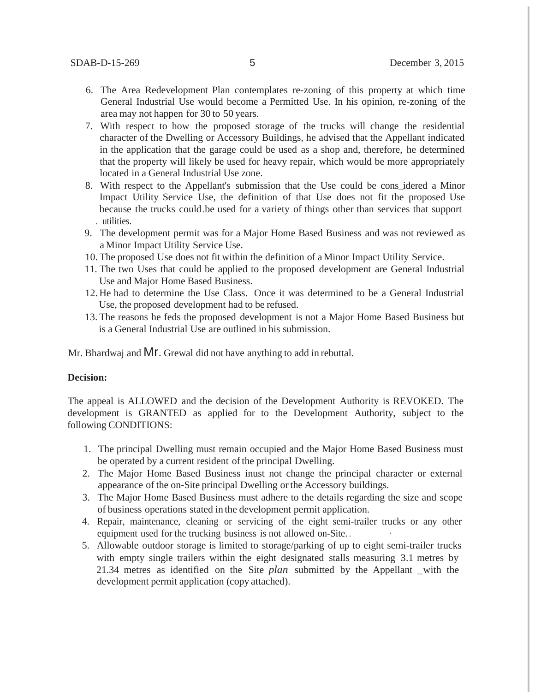- 6. The Area Redevelopment Plan contemplates re-zoning of this property at which time General Industrial Use would become a Permitted Use. In his opinion, re-zoning of the area may not happen for 30 to 50 years.
- 7. With respect to how the proposed storage of the trucks will change the residential character of the Dwelling or Accessory Buildings, he advised that the Appellant indicated in the application that the garage could be used as a shop and, therefore, he determined that the property will likely be used for heavy repair, which would be more appropriately located in a General Industrial Use zone.
- 8. With respect to the Appellant's submission that the Use could be cons\_idered a Minor Impact Utility Service Use, the definition of that Use does not fit the proposed Use because the trucks could.be used for a variety of things other than services that support . utilities.
- 9. The development permit was for a Major Home Based Business and was not reviewed as a Minor Impact Utility Service Use.
- 10. The proposed Use does not fit within the definition of a Minor Impact Utility Service.
- 11. The two Uses that could be applied to the proposed development are General Industrial Use and Major Home Based Business.
- 12. He had to determine the Use Class. Once it was determined to be a General Industrial Use, the proposed development had to be refused.
- 13. The reasons he feds the proposed development is not a Major Home Based Business but is a General Industrial Use are outlined in his submission.

Mr. Bhardwaj and MI. Grewal did not have anything to add in rebuttal.

#### **Decision:**

The appeal is ALLOWED and the decision of the Development Authority is REVOKED. The development is GRANTED as applied for to the Development Authority, subject to the following CONDITIONS:

- 1. The principal Dwelling must remain occupied and the Major Home Based Business must be operated by a current resident of the principal Dwelling.
- 2. The Major Home Based Business inust not change the principal character or external appearance of the on-Site principal Dwelling or the Accessory buildings.
- 3. The Major Home Based Business must adhere to the details regarding the size and scope of business operations stated in the development permit application.
- 4. Repair, maintenance, cleaning or servicing of the eight semi-trailer trucks or any other equipment used for the trucking business is not allowed on-Site...
- 5. Allowable outdoor storage is limited to storage/parking of up to eight semi-trailer trucks with empty single trailers within the eight designated stalls measuring 3.1 metres by 21.34 metres as identified on the Site *plan* submitted by the Appellant \_with the development permit application (copy attached).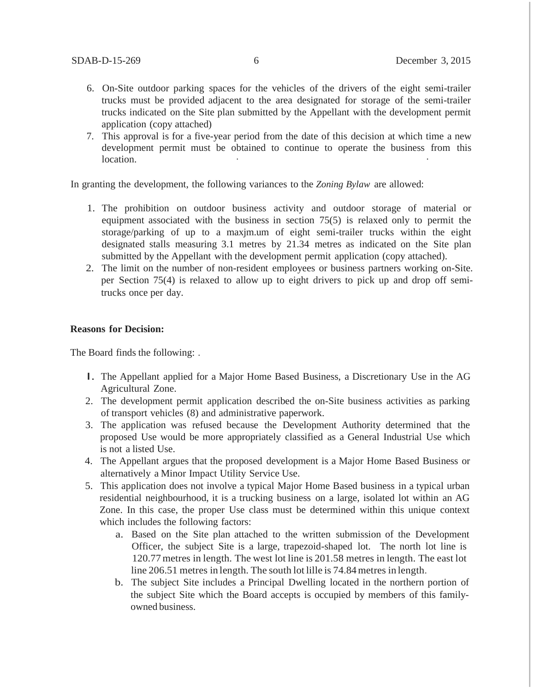- 6. On-Site outdoor parking spaces for the vehicles of the drivers of the eight semi-trailer trucks must be provided adjacent to the area designated for storage of the semi-trailer trucks indicated on the Site plan submitted by the Appellant with the development permit application (copy attached)
- 7. This approval is for a five-year period from the date of this decision at which time a new development permit must be obtained to continue to operate the business from this location.

In granting the development, the following variances to the *Zoning Bylaw* are allowed:

- 1. The prohibition on outdoor business activity and outdoor storage of material or equipment associated with the business in section 75(5) is relaxed only to permit the storage/parking of up to a maxjm.um of eight semi-trailer trucks within the eight designated stalls measuring 3.1 metres by 21.34 metres as indicated on the Site plan submitted by the Appellant with the development permit application (copy attached).
- 2. The limit on the number of non-resident employees or business partners working on-Site. per Section 75(4) is relaxed to allow up to eight drivers to pick up and drop off semitrucks once per day.

#### **Reasons for Decision:**

The Board finds the following: .

- I. The Appellant applied for <sup>a</sup> Major Home Based Business, <sup>a</sup> Discretionary Use in the AG Agricultural Zone.
- 2. The development permit application described the on-Site business activities as parking of transport vehicles (8) and administrative paperwork.
- 3. The application was refused because the Development Authority determined that the proposed Use would be more appropriately classified as a General Industrial Use which is not a listed Use.
- 4. The Appellant argues that the proposed development is a Major Home Based Business or alternatively a Minor Impact Utility Service Use.
- 5. This application does not involve a typical Major Home Based business in a typical urban residential neighbourhood, it is a trucking business on a large, isolated lot within an AG Zone. In this case, the proper Use class must be determined within this unique context which includes the following factors:
	- a. Based on the Site plan attached to the written submission of the Development Officer, the subject Site is a large, trapezoid-shaped lot. The north lot line is 120.77metres in length. The west lot line is 201.58 metres in length. The east lot line 206.51 metres in length. The south lot lille is 74.84metres in length.
	- b. The subject Site includes a Principal Dwelling located in the northern portion of the subject Site which the Board accepts is occupied by members of this familyowned business.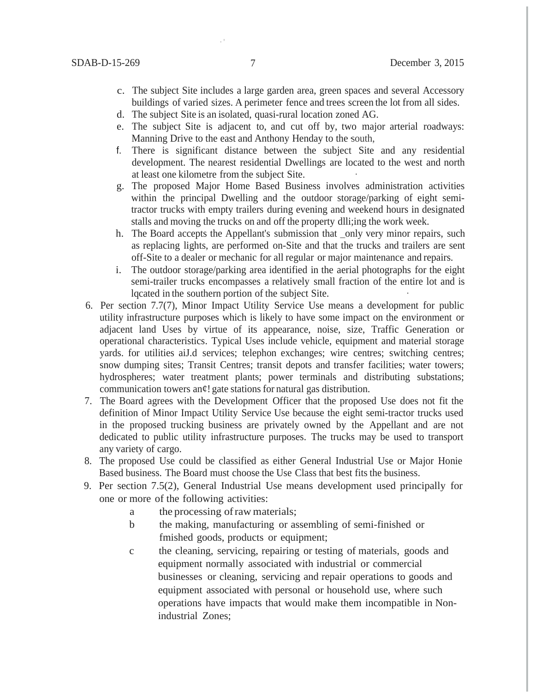- c. The subject Site includes a large garden area, green spaces and several Accessory buildings of varied sizes. A perimeter fence and trees screen the lot from all sides.
- d. The subject Site is an isolated, quasi-rural location zoned AG.
- e. The subject Site is adjacent to, and cut off by, two major arterial roadways: Manning Drive to the east and Anthony Henday to the south,
- f. There is significant distance between the subject Site and any residential development. The nearest residential Dwellings are located to the west and north at least one kilometre from the subject Site.
- g. The proposed Major Home Based Business involves administration activities within the principal Dwelling and the outdoor storage/parking of eight semitractor trucks with empty trailers during evening and weekend hours in designated stalls and moving the trucks on and off the property dlli;ing the work week.
- h. The Board accepts the Appellant's submission that \_only very minor repairs, such as replacing lights, are performed on-Site and that the trucks and trailers are sent off-Site to a dealer or mechanic for all regular or major maintenance and repairs.
- i. The outdoor storage/parking area identified in the aerial photographs for the eight semi-trailer trucks encompasses a relatively small fraction of the entire lot and is lqcated in the southern portion of the subject Site.
- 6. Per section 7.7(7), Minor Impact Utility Service Use means a development for public utility infrastructure purposes which is likely to have some impact on the environment or adjacent land Uses by virtue of its appearance, noise, size, Traffic Generation or operational characteristics. Typical Uses include vehicle, equipment and material storage yards. for utilities aiJ.d services; telephon exchanges; wire centres; switching centres; snow dumping sites; Transit Centres; transit depots and transfer facilities; water towers; hydrospheres; water treatment plants; power terminals and distributing substations; communication towers an¢! gate stations for natural gas distribution.
- 7. The Board agrees with the Development Officer that the proposed Use does not fit the definition of Minor Impact Utility Service Use because the eight semi-tractor trucks used in the proposed trucking business are privately owned by the Appellant and are not dedicated to public utility infrastructure purposes. The trucks may be used to transport any variety of cargo.
- 8. The proposed Use could be classified as either General Industrial Use or Major Honie Based business. The Board must choose the Use Class that best fits the business.
- 9. Per section 7.5(2), General Industrial Use means development used principally for one or more of the following activities:
	- a the processing ofraw materials;
	- b the making, manufacturing or assembling of semi-finished or fmished goods, products or equipment;
	- c the cleaning, servicing, repairing or testing of materials, goods and equipment normally associated with industrial or commercial businesses or cleaning, servicing and repair operations to goods and equipment associated with personal or household use, where such operations have impacts that would make them incompatible in Nonindustrial Zones;

·'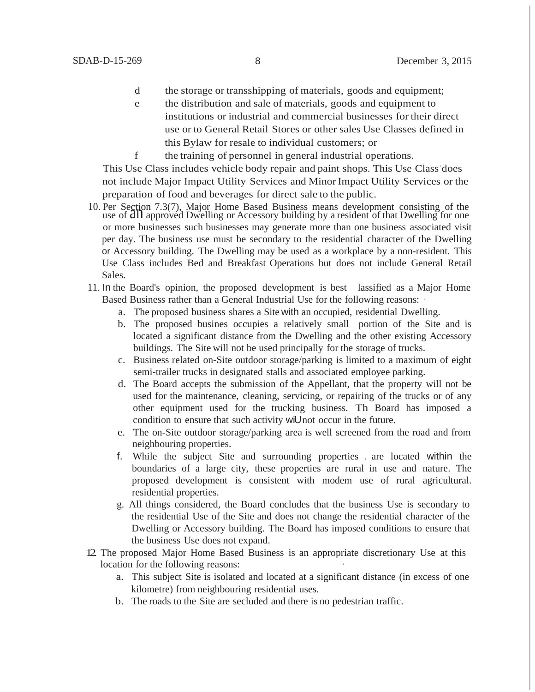- d the storage or transshipping of materials, goods and equipment;
- e the distribution and sale of materials, goods and equipment to institutions or industrial and commercial businesses for their direct use or to General Retail Stores or other sales Use Classes defined in this Bylaw for resale to individual customers; or
- f the training of personnel in general industrial operations.

This Use Class includes vehicle body repair and paint shops. This Use Class'does not include Major Impact Utility Services and MinorImpact Utility Services or the preparation of food and beverages for direct sale to the public.

- 10. Per Section 7.3(7), Major Home Based Business means development consisting of the use of  $\hat{a}n$  approved Dwelling or Accessory building by a resident of that Dwelling for one or more businesses such businesses may generate more than one business associated visit per day. The business use must be secondary to the residential character of the Dwelling or Accessory building. The Dwelling may be used as a workplace by a non-resident. This Use Class includes Bed and Breakfast Operations but does not include General Retail Sales.
- 11. In the Board's opinion, the proposed development is best lassified as a Major Home Based Business rather than a General Industrial Use for the following reasons:
	- a. The proposed business shares a Site with an occupied, residential Dwelling.
	- b. The proposed busines occupies a relatively small portion of the Site and is located a significant distance from the Dwelling and the other existing Accessory buildings. The Site will not be used principally for the storage of trucks.
	- c. Business related on-Site outdoor storage/parking is limited to a maximum of eight semi-trailer trucks in designated stalls and associated employee parking.
	- d. The Board accepts the submission of the Appellant, that the property will not be used for the maintenance, cleaning, servicing, or repairing of the trucks or of any other equipment used for the trucking business. Th Board has imposed a condition to ensure that such activity wiUnot occur in the future.
	- e. The on-Site outdoor storage/parking area is well screened from the road and from neighbouring properties.
	- f. While the subject Site and surrounding properties . are located within the boundaries of a large city, these properties are rural in use and nature. The proposed development is consistent with modem use of rural agricultural. residential properties.
	- g. All things considered, the Board concludes that the business Use is secondary to the residential Use of the Site and does not change the residential character of the Dwelling or Accessory building. The Board has imposed conditions to ensure that the business Use does not expand.
- 12. The proposed Major Home Based Business is an appropriate discretionary Use at this location for the following reasons:
	- a. This subject Site is isolated and located at a significant distance (in excess of one kilometre) from neighbouring residential uses.
	- b. The roads to the Site are secluded and there is no pedestrian traffic.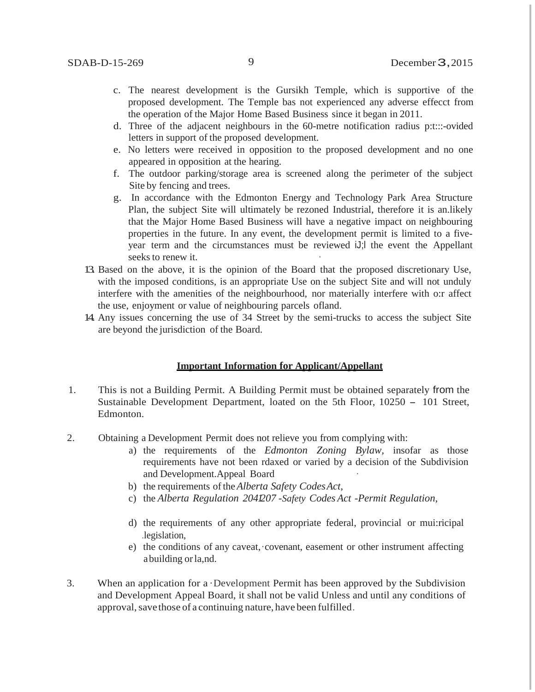- c. The nearest development is the Gursikh Temple, which is supportive of the proposed development. The Temple bas not experienced any adverse effecct from the operation of the Major Home Based Business since it began in 2011.
- d. Three of the adjacent neighbours in the 60-metre notification radius p:t:::-ovided letters in support of the proposed development.
- e. No letters were received in opposition to the proposed development and no one appeared in opposition at the hearing.
- f. The outdoor parking/storage area is screened along the perimeter of the subject Site by fencing and trees.
- g. In accordance with the Edmonton Energy and Technology Park Area Structure Plan, the subject Site will ultimately be rezoned Industrial, therefore it is an.likely that the Major Home Based Business will have a negative impact on neighbouring properties in the future. In any event, the development permit is limited to a fiveyear term and the circumstances must be reviewed iJ;l the event the Appellant seeks to renew it.
- 13. Based on the above, it is the opinion of the Board that the proposed discretionary Use, with the imposed conditions, is an appropriate Use on the subject Site and will not unduly interfere with the amenities of the neighbourhood, nor materially interfere with o:r affect the use, enjoyment or value of neighbouring parcels ofland.
- 14. Any issues concerning the use of 34 Street by the semi-trucks to access the subject Site are beyond the jurisdiction of the Board.

#### **Important Information for Applicant/Appellant**

- 1. This is not a Building Permit. A Building Permit must be obtained separately from the Sustainable Development Department, loated on the 5th Floor, <sup>10250</sup> - <sup>101</sup> Street, Edmonton.
- 2. Obtaining a Development Permit does not relieve you from complying with:
	- a) the requirements of the *Edmonton Zoning Bylaw,* insofar as those requirements have not been rdaxed or varied by a decision of the Subdivision and Development.Appeal Board
	- b) the requirements ofthe*Alberta Safety CodesAct,*
	- c) the *Alberta Regulation 2041207* -*Safety Codes Act -Permit Regulation,*
	- d) the requirements of any other appropriate federal, provincial or mui:ricipal .legislation,
	- e) the conditions of any caveat, covenant, easement or other instrument affecting abuilding or la,nd.
- 3. When an application for a ·Development Permit has been approved by the Subdivision and Development Appeal Board, it shall not be valid Unless and until any conditions of approval, save those of a continuing nature, have been fulfilled.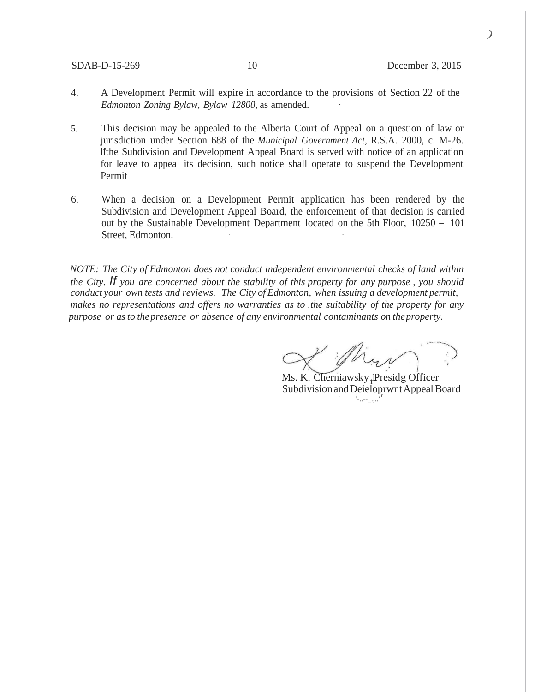*)*

- 4. A Development Permit will expire in accordance to the provisions of Section 22 of the *Edmonton Zoning Bylaw, Bylaw 12800,* as amended. ·
- 5. This decision may be appealed to the Alberta Court of Appeal on a question of law or jurisdiction under Section 688 of the *Municipal Government Act,* R.S.A. 2000, c. M-26. Ifthe Subdivision and Development Appeal Board is served with notice of an application for leave to appeal its decision, such notice shall operate to suspend the Development Permit
- 6. When a decision on a Development Permit application has been rendered by the Subdivision and Development Appeal Board, the enforcement of that decision is carried out by the Sustainable Development Department located on the 5th Floor, <sup>10250</sup> - <sup>101</sup> Street, Edmonton.

*NOTE: The City of Edmonton does not conduct independent environmental checks of land within the City. If you are concerned about the stability of this property for any purpose , you should conduct your own tests and reviews. The City of Edmonton, when issuing a development permit, makes no representations and offers no warranties as to .the suitability of the property for any purpose or asto thepresence or absence of any environmental contaminants on theproperty.*

Ms. K. Cherniawsky<sub>1</sub>Presidg Officer Subdivision and Deieloprwnt Appeal Board '-..--\_.,..